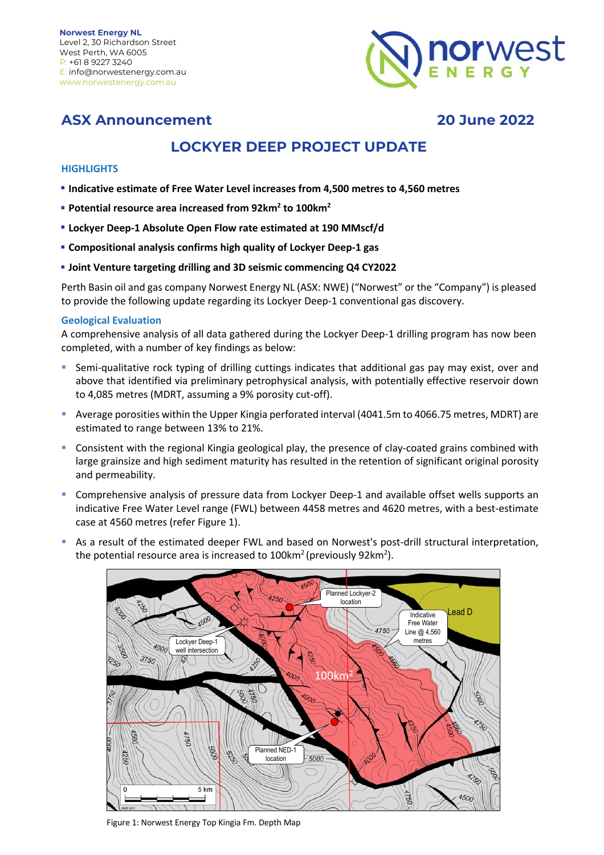

## **ASX Announcement 20 June 2022**

# **LOCKYER DEEP PROJECT UPDATE**

## **HIGHLIGHTS**

- g **Indicative estimate of Free Water Level increases from 4,500 metres to 4,560 metres**
- **Potential resource area increased from 92km<sup>2</sup> to 100km<sup>2</sup>**
- **Lockyer Deep-1 Absolute Open Flow rate estimated at 190 MMscf/d**
- g **Compositional analysis confirms high quality of Lockyer Deep-1 gas**
- **Joint Venture targeting drilling and 3D seismic commencing Q4 CY2022**

Perth Basin oil and gas company Norwest Energy NL (ASX: NWE) ("Norwest" or the "Company") is pleased to provide the following update regarding its Lockyer Deep-1 conventional gas discovery.

### **Geological Evaluation**

A comprehensive analysis of all data gathered during the Lockyer Deep-1 drilling program has now been completed, with a number of key findings as below:

- Semi-qualitative rock typing of drilling cuttings indicates that additional gas pay may exist, over and above that identified via preliminary petrophysical analysis, with potentially effective reservoir down to 4,085 metres (MDRT, assuming a 9% porosity cut-off).
- § Average porosities within the Upper Kingia perforated interval (4041.5m to 4066.75 metres, MDRT) are estimated to range between 13% to 21%.
- Consistent with the regional Kingia geological play, the presence of clay-coated grains combined with large grainsize and high sediment maturity has resulted in the retention of significant original porosity and permeability.
- Comprehensive analysis of pressure data from Lockyer Deep-1 and available offset wells supports an indicative Free Water Level range (FWL) between 4458 metres and 4620 metres, with a best-estimate case at 4560 metres (refer Figure 1).
- As a result of the estimated deeper FWL and based on Norwest's post-drill structural interpretation, the potential resource area is increased to 100km<sup>2</sup> (previously 92km<sup>2</sup>).



Figure 1: Norwest Energy Top Kingia Fm. Depth Map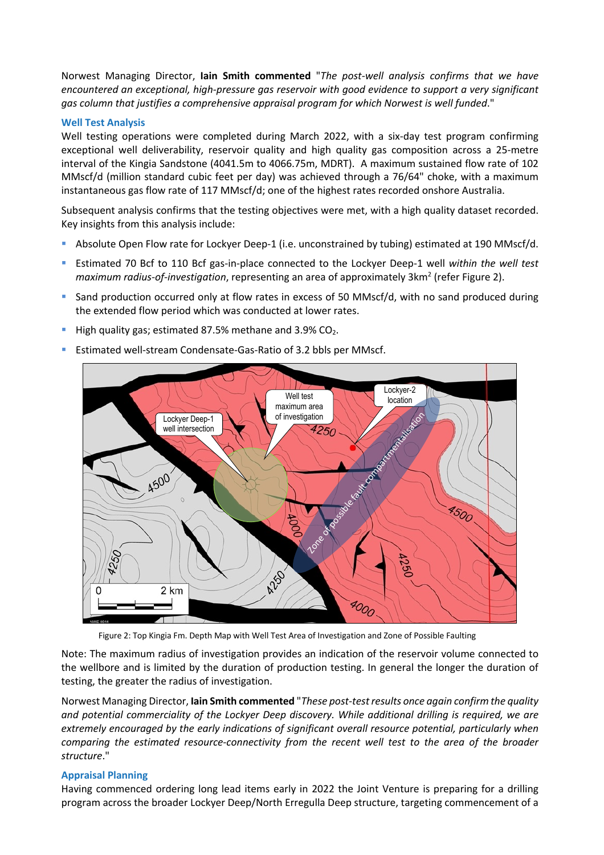Norwest Managing Director, **Iain Smith commented** "*The post-well analysis confirms that we have encountered an exceptional, high-pressure gas reservoir with good evidence to support a very significant gas column that justifies a comprehensive appraisal program for which Norwest is well funded*."

#### **Well Test Analysis**

Well testing operations were completed during March 2022, with a six-day test program confirming exceptional well deliverability, reservoir quality and high quality gas composition across a 25-metre interval of the Kingia Sandstone (4041.5m to 4066.75m, MDRT). A maximum sustained flow rate of 102 MMscf/d (million standard cubic feet per day) was achieved through a 76/64" choke, with a maximum instantaneous gas flow rate of 117 MMscf/d; one of the highest rates recorded onshore Australia.

Subsequent analysis confirms that the testing objectives were met, with a high quality dataset recorded. Key insights from this analysis include:

- Absolute Open Flow rate for Lockyer Deep-1 (i.e. unconstrained by tubing) estimated at 190 MMscf/d.
- § Estimated 70 Bcf to 110 Bcf gas-in-place connected to the Lockyer Deep-1 well *within the well test maximum radius-of-investigation*, representing an area of approximately 3km<sup>2</sup> (refer Figure 2).
- § Sand production occurred only at flow rates in excess of 50 MMscf/d, with no sand produced during the extended flow period which was conducted at lower rates.
- High quality gas; estimated 87.5% methane and 3.9%  $CO<sub>2</sub>$ .
- § Estimated well-stream Condensate-Gas-Ratio of 3.2 bbls per MMscf.



Figure 2: Top Kingia Fm. Depth Map with Well Test Area of Investigation and Zone of Possible Faulting

Note: The maximum radius of investigation provides an indication of the reservoir volume connected to the wellbore and is limited by the duration of production testing. In general the longer the duration of testing, the greater the radius of investigation.

Norwest Managing Director, **Iain Smith commented** "*These post-test results once again confirm the quality and potential commerciality of the Lockyer Deep discovery. While additional drilling is required, we are extremely encouraged by the early indications of significant overall resource potential, particularly when comparing the estimated resource-connectivity from the recent well test to the area of the broader structure*."

### **Appraisal Planning**

Having commenced ordering long lead items early in 2022 the Joint Venture is preparing for a drilling program across the broader Lockyer Deep/North Erregulla Deep structure, targeting commencement of a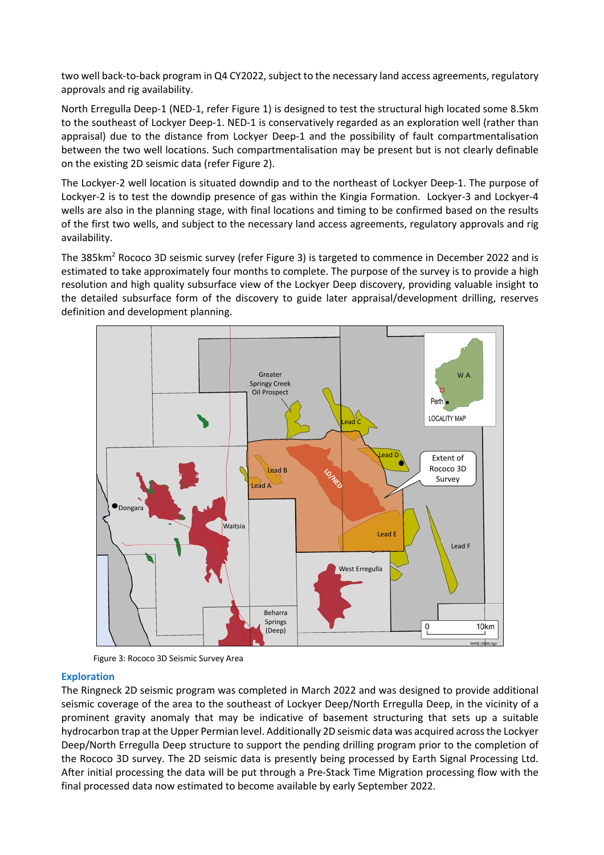two well back-to-back program in Q4 CY2022, subject to the necessary land access agreements, regulatory approvals and rig availability.

North Erregulla Deep-1 (NED-1, refer Figure 1) is designed to test the structural high located some 8.5km to the southeast of Lockyer Deep-1. NED-1 is conservatively regarded as an exploration well (rather than appraisal) due to the distance from Lockyer Deep-1 and the possibility of fault compartmentalisation between the two well locations. Such compartmentalisation may be present but is not clearly definable on the existing 2D seismic data (refer Figure 2).

The Lockyer-2 well location is situated downdip and to the northeast of Lockyer Deep-1. The purpose of Lockyer-2 is to test the downdip presence of gas within the Kingia Formation. Lockyer-3 and Lockyer-4 wells are also in the planning stage, with final locations and timing to be confirmed based on the results of the first two wells, and subject to the necessary land access agreements, regulatory approvals and rig availability.

The 385km<sup>2</sup> Rococo 3D seismic survey (refer Figure 3) is targeted to commence in December 2022 and is estimated to take approximately four months to complete. The purpose of the survey is to provide a high resolution and high quality subsurface view of the Lockyer Deep discovery, providing valuable insight to the detailed subsurface form of the discovery to guide later appraisal/development drilling, reserves definition and development planning.



Figure 3: Rococo 3D Seismic Survey Area

#### **Exploration**

The Ringneck 2D seismic program was completed in March 2022 and was designed to provide additional seismic coverage of the area to the southeast of Lockyer Deep/North Erregulla Deep, in the vicinity of a prominent gravity anomaly that may be indicative of basement structuring that sets up a suitable hydrocarbon trap at the Upper Permian level. Additionally 2D seismic data was acquired across the Lockyer Deep/North Erregulla Deep structure to support the pending drilling program prior to the completion of the Rococo 3D survey. The 2D seismic data is presently being processed by Earth Signal Processing Ltd. After initial processing the data will be put through a Pre-Stack Time Migration processing flow with the final processed data now estimated to become available by early September 2022.